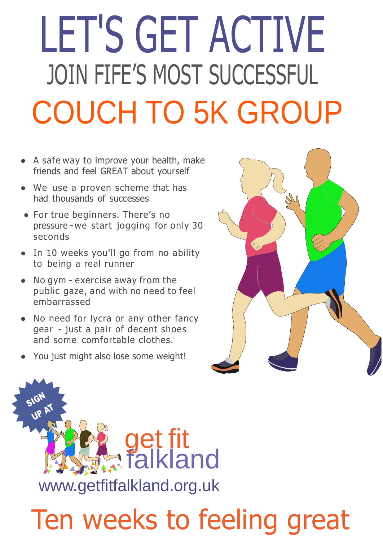## COUCH TO 5K GROUP JOIN FIFE'S MOST SUCCESSFUL LET'S GET ACTIVE

- A safe way to improve your health, make friends and feel GREAT about yourself
- We use a proven scheme that has had thousands of successes
- For true beginners. There's no pressure - we start jogging for only 30 seconds
- In 10 weeks you'll go from no ability to being a real runner
- No gym exercise away from the public gaze, and with no need to feel embarrassed
- No need for lycra or any other fancy gear - just a pair of decent shoes and some comfortable clothes.
- You just might also lose some weight!





## Ten weeks to feeling great